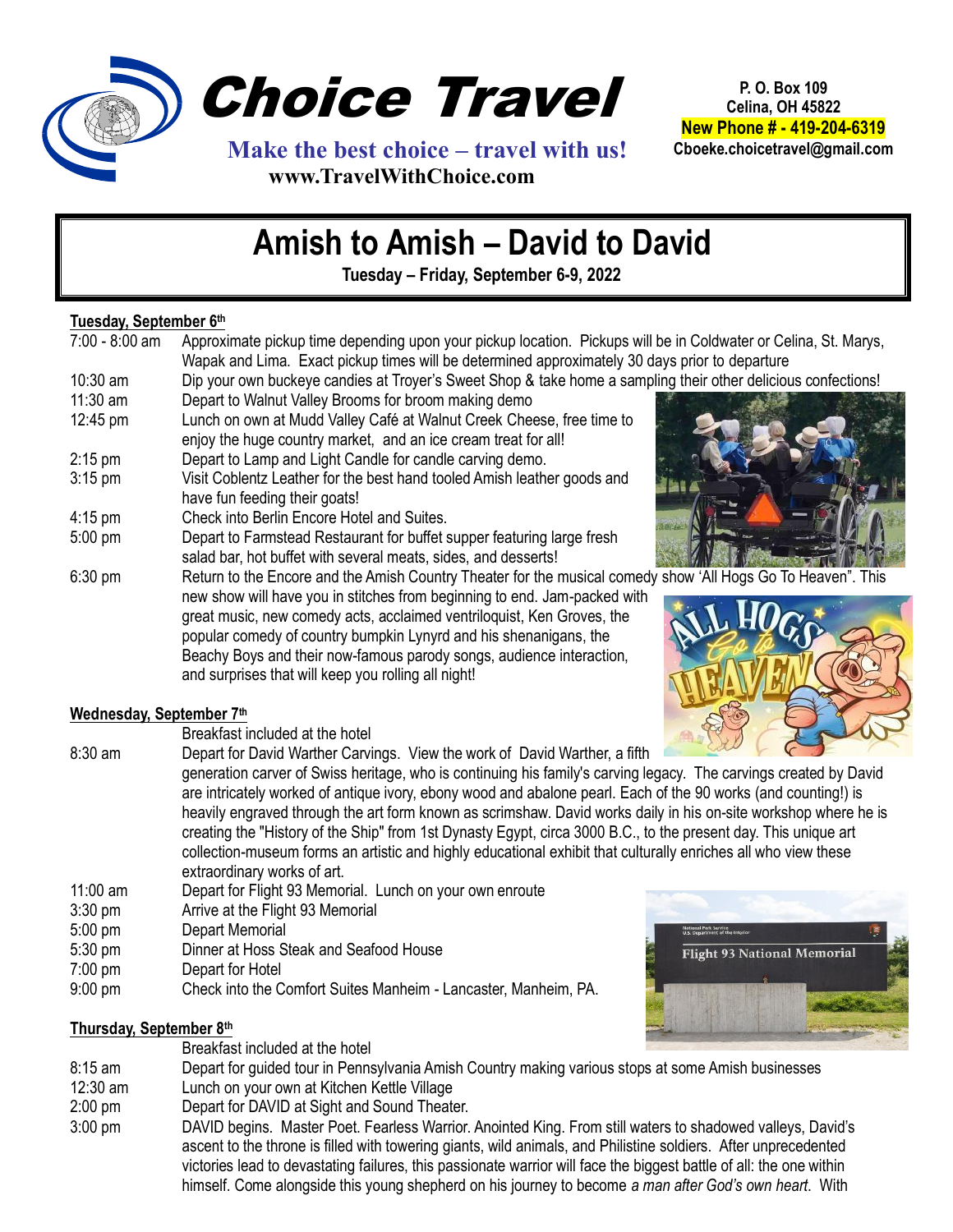

**P. O. Box 109 Celina, OH 45822 New Phone # - 419-204-6319 Cboeke.choicetravel@gmail.com**

# **Amish to Amish – David to David**

 **Tuesday – Friday, September 6-9, 2022**

## **Tuesday, September 6th**

| 7:00 - 8:00 am    | Approximate pickup time depending upon your pickup location. Pickups will be in Coldwater or Celina, St. Marys,<br>Wapak and Lima. Exact pickup times will be determined approximately 30 days prior to departure                                                                                |  |  |  |  |
|-------------------|--------------------------------------------------------------------------------------------------------------------------------------------------------------------------------------------------------------------------------------------------------------------------------------------------|--|--|--|--|
| $10:30$ am        | Dip your own buckeye candies at Troyer's Sweet Shop & take home a sampling their other delicious confections!                                                                                                                                                                                    |  |  |  |  |
| $11:30$ am        | Depart to Walnut Valley Brooms for broom making demo                                                                                                                                                                                                                                             |  |  |  |  |
| 12:45 pm          | Lunch on own at Mudd Valley Café at Walnut Creek Cheese, free time to<br>enjoy the huge country market, and an ice cream treat for all!                                                                                                                                                          |  |  |  |  |
| $2:15$ pm         | Depart to Lamp and Light Candle for candle carving demo.                                                                                                                                                                                                                                         |  |  |  |  |
| $3:15$ pm         | Visit Coblentz Leather for the best hand tooled Amish leather goods and<br>have fun feeding their goats!                                                                                                                                                                                         |  |  |  |  |
| $4:15 \text{ pm}$ | Check into Berlin Encore Hotel and Suites.                                                                                                                                                                                                                                                       |  |  |  |  |
| $5:00$ pm         | Depart to Farmstead Restaurant for buffet supper featuring large fresh<br>salad bar, hot buffet with several meats, sides, and desserts!                                                                                                                                                         |  |  |  |  |
| $6:30$ pm         | Return to the Encore and the Amish Country Theater for the musical comedy show 'All Hogs Go To Heaven". This                                                                                                                                                                                     |  |  |  |  |
|                   | new show will have you in stitches from beginning to end. Jam-packed with<br>great music, new comedy acts, acclaimed ventriloquist, Ken Groves, the<br>popular comedy of country bumpkin Lynyrd and his shenanigans, the<br>Beachy Boys and their now-famous parody songs, audience interaction, |  |  |  |  |

### **Wednesday, September 7th**

Breakfast included at the hotel

8:30 am Depart for David Warther Carvings. View the work of David Warther, a fifth

and surprises that will keep you rolling all night!

generation carver of Swiss heritage, who is continuing his family's carving legacy. The carvings created by David are intricately worked of antique ivory, ebony wood and abalone pearl. Each of the 90 works (and counting!) is heavily engraved through the art form known as scrimshaw. David works daily in his on-site workshop where he is creating the "History of the Ship" from 1st Dynasty Egypt, circa 3000 B.C., to the present day. This unique art collection-museum forms an artistic and highly educational exhibit that culturally enriches all who view these extraordinary works of art.

- 11:00 am Depart for Flight 93 Memorial. Lunch on your own enroute
- 3:30 pm Arrive at the Flight 93 Memorial
- 5:00 pm Depart Memorial
- 5:30 pm Dinner at Hoss Steak and Seafood House
- 7:00 pm Depart for Hotel
- 9:00 pm Check into the Comfort Suites Manheim Lancaster, Manheim, PA.

### **Thursday, September 8th**

Breakfast included at the hotel

8:15 am Depart for guided tour in Pennsylvania Amish Country making various stops at some Amish businesses

- 12:30 am Lunch on your own at Kitchen Kettle Village
- 2:00 pm Depart for DAVID at Sight and Sound Theater.
- 3:00 pm DAVID begins. Master Poet. Fearless Warrior. Anointed King. From still waters to shadowed valleys, David's ascent to the throne is filled with towering giants, wild animals, and Philistine soldiers. After unprecedented victories lead to devastating failures, this passionate warrior will face the biggest battle of all: the one within himself. Come alongside this young shepherd on his journey to become *a man after God's own heart*. With



**Flight 93 National Memorial**